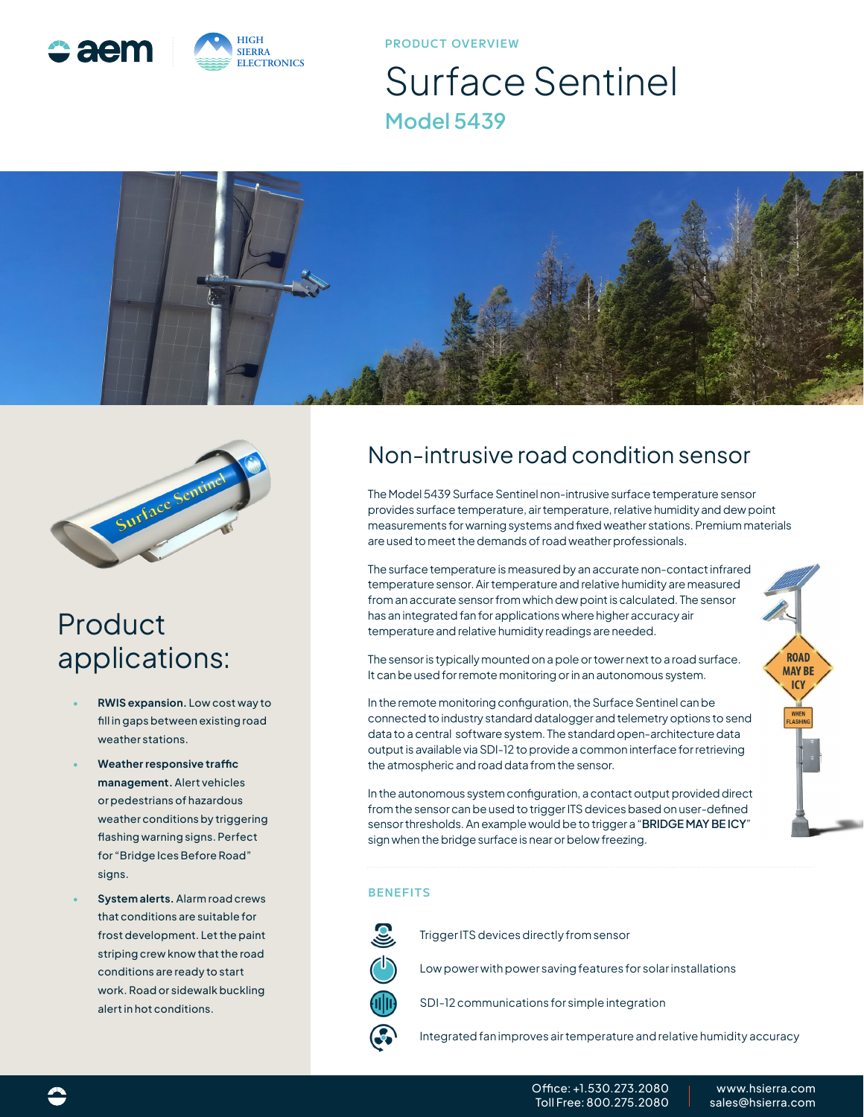

**PRODUCT OVERVIEW**

# Surface Sentinel **Model 5439**





### Product applications:

- **• RWIS expansion.** Low cost way to fill in gaps between existing road weather stations.
- **• Weather responsive traffic management.** Alert vehicles or pedestrians of hazardous weather conditions by triggering flashing warning signs. Perfect for "Bridge Ices Before Road" signs.
- **• System alerts.** Alarm road crews that conditions are suitable for frost development. Let the paint striping crew know that the road conditions are ready to start work. Road or sidewalk buckling alert in hot conditions.

### Non-intrusive road condition sensor

The Model 5439 Surface Sentinel non-intrusive surface temperature sensor provides surface temperature, air temperature, relative humidity and dew point measurements for warning systems and fixed weather stations. Premium materials are used to meet the demands of road weather professionals.

The surface temperature is measured by an accurate non-contact infrared temperature sensor. Air temperature and relative humidity are measured from an accurate sensor from which dew point is calculated. The sensor has an integrated fan for applications where higher accuracy air temperature and relative humidity readings are needed.

The sensor is typically mounted on a pole or tower next to a road surface. It can be used for remote monitoring or in an autonomous system.

In the remote monitoring configuration, the Surface Sentinel can be connected to industry standard datalogger and telemetry options to send data to a central software system. The standard open-architecture data output is available via SDI-12 to provide a common interface for retrieving the atmospheric and road data from the sensor.

In the autonomous system configuration, a contact output provided direct from the sensor can be used to trigger ITS devices based on user-defined sensor thresholds. An example would be to trigger a "**BRIDGE MAY BE ICY**" sign when the bridge surface is near or below freezing.

#### **BENEFITS**



Trigger ITS devices directly from sensor

Low power with power saving features for solar installations

- SDI-12 communications for simple integration
- Integrated fan improves air temperature and relative humidity accuracy

**ROAD MAY BE ICY**